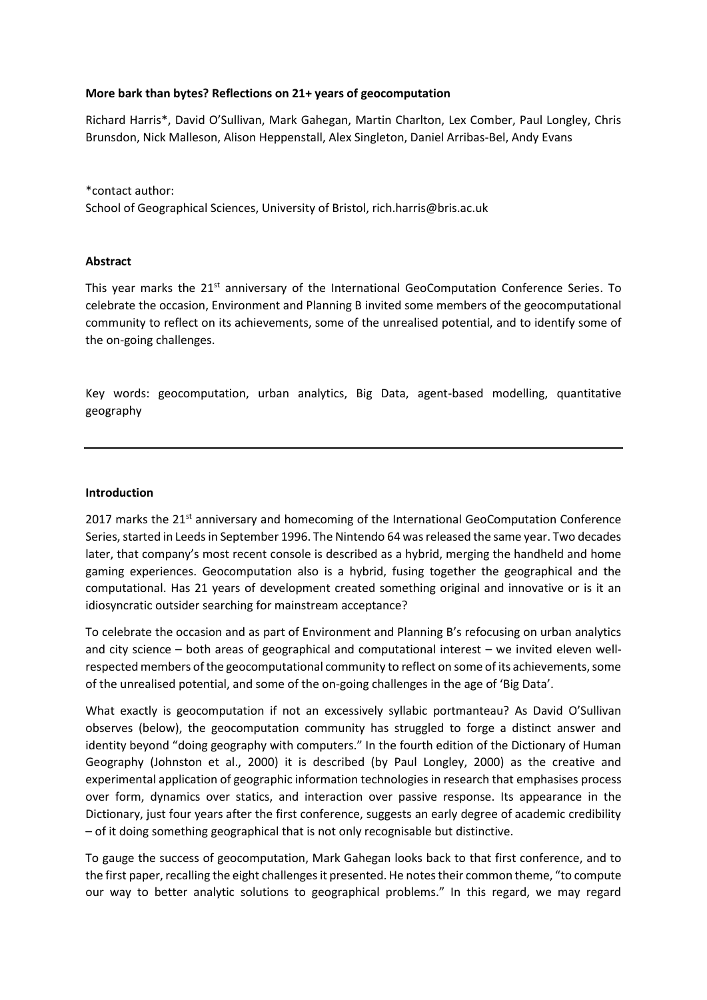## **More bark than bytes? Reflections on 21+ years of geocomputation**

Richard Harris\*, David O'Sullivan, Mark Gahegan, Martin Charlton, Lex Comber, Paul Longley, Chris Brunsdon, Nick Malleson, Alison Heppenstall, Alex Singleton, Daniel Arribas-Bel, Andy Evans

\*contact author: School of Geographical Sciences, University of Bristol, rich.harris@bris.ac.uk

## **Abstract**

This year marks the  $21<sup>st</sup>$  anniversary of the International GeoComputation Conference Series. To celebrate the occasion, Environment and Planning B invited some members of the geocomputational community to reflect on its achievements, some of the unrealised potential, and to identify some of the on-going challenges.

Key words: geocomputation, urban analytics, Big Data, agent-based modelling, quantitative geography

### **Introduction**

2017 marks the  $21<sup>st</sup>$  anniversary and homecoming of the International GeoComputation Conference Series, started in Leeds in September 1996. The Nintendo 64 was released the same year. Two decades later, that company's most recent console is described as a hybrid, merging the handheld and home gaming experiences. Geocomputation also is a hybrid, fusing together the geographical and the computational. Has 21 years of development created something original and innovative or is it an idiosyncratic outsider searching for mainstream acceptance?

To celebrate the occasion and as part of Environment and Planning B's refocusing on urban analytics and city science – both areas of geographical and computational interest – we invited eleven wellrespected members of the geocomputational community to reflect on some of its achievements, some of the unrealised potential, and some of the on-going challenges in the age of 'Big Data'.

What exactly is geocomputation if not an excessively syllabic portmanteau? As David O'Sullivan observes (below), the geocomputation community has struggled to forge a distinct answer and identity beyond "doing geography with computers." In the fourth edition of the Dictionary of Human Geography (Johnston et al., 2000) it is described (by Paul Longley, 2000) as the creative and experimental application of geographic information technologies in research that emphasises process over form, dynamics over statics, and interaction over passive response. Its appearance in the Dictionary, just four years after the first conference, suggests an early degree of academic credibility – of it doing something geographical that is not only recognisable but distinctive.

To gauge the success of geocomputation, Mark Gahegan looks back to that first conference, and to the first paper, recalling the eight challenges it presented. He notes their common theme, "to compute our way to better analytic solutions to geographical problems." In this regard, we may regard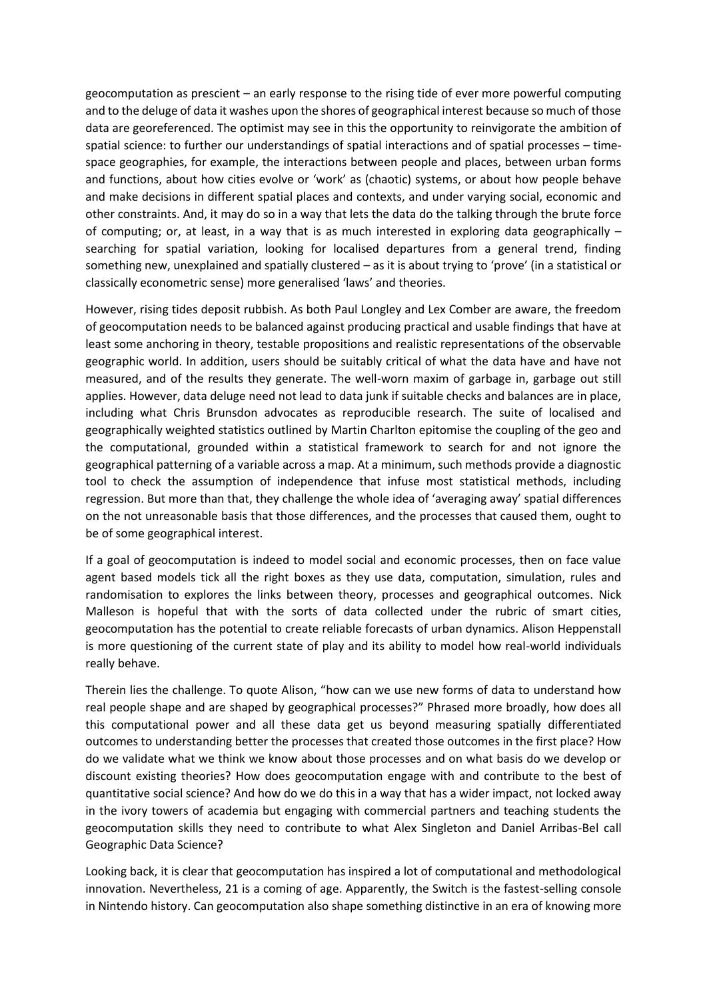geocomputation as prescient – an early response to the rising tide of ever more powerful computing and to the deluge of data it washes upon the shores of geographical interest because so much of those data are georeferenced. The optimist may see in this the opportunity to reinvigorate the ambition of spatial science: to further our understandings of spatial interactions and of spatial processes – timespace geographies, for example, the interactions between people and places, between urban forms and functions, about how cities evolve or 'work' as (chaotic) systems, or about how people behave and make decisions in different spatial places and contexts, and under varying social, economic and other constraints. And, it may do so in a way that lets the data do the talking through the brute force of computing; or, at least, in a way that is as much interested in exploring data geographically – searching for spatial variation, looking for localised departures from a general trend, finding something new, unexplained and spatially clustered – as it is about trying to 'prove' (in a statistical or classically econometric sense) more generalised 'laws' and theories.

However, rising tides deposit rubbish. As both Paul Longley and Lex Comber are aware, the freedom of geocomputation needs to be balanced against producing practical and usable findings that have at least some anchoring in theory, testable propositions and realistic representations of the observable geographic world. In addition, users should be suitably critical of what the data have and have not measured, and of the results they generate. The well-worn maxim of garbage in, garbage out still applies. However, data deluge need not lead to data junk if suitable checks and balances are in place, including what Chris Brunsdon advocates as reproducible research. The suite of localised and geographically weighted statistics outlined by Martin Charlton epitomise the coupling of the geo and the computational, grounded within a statistical framework to search for and not ignore the geographical patterning of a variable across a map. At a minimum, such methods provide a diagnostic tool to check the assumption of independence that infuse most statistical methods, including regression. But more than that, they challenge the whole idea of 'averaging away' spatial differences on the not unreasonable basis that those differences, and the processes that caused them, ought to be of some geographical interest.

If a goal of geocomputation is indeed to model social and economic processes, then on face value agent based models tick all the right boxes as they use data, computation, simulation, rules and randomisation to explores the links between theory, processes and geographical outcomes. Nick Malleson is hopeful that with the sorts of data collected under the rubric of smart cities, geocomputation has the potential to create reliable forecasts of urban dynamics. Alison Heppenstall is more questioning of the current state of play and its ability to model how real-world individuals really behave.

Therein lies the challenge. To quote Alison, "how can we use new forms of data to understand how real people shape and are shaped by geographical processes?" Phrased more broadly, how does all this computational power and all these data get us beyond measuring spatially differentiated outcomes to understanding better the processes that created those outcomes in the first place? How do we validate what we think we know about those processes and on what basis do we develop or discount existing theories? How does geocomputation engage with and contribute to the best of quantitative social science? And how do we do this in a way that has a wider impact, not locked away in the ivory towers of academia but engaging with commercial partners and teaching students the geocomputation skills they need to contribute to what Alex Singleton and Daniel Arribas-Bel call Geographic Data Science?

Looking back, it is clear that geocomputation has inspired a lot of computational and methodological innovation. Nevertheless, 21 is a coming of age. Apparently, the Switch is the fastest-selling console in Nintendo history. Can geocomputation also shape something distinctive in an era of knowing more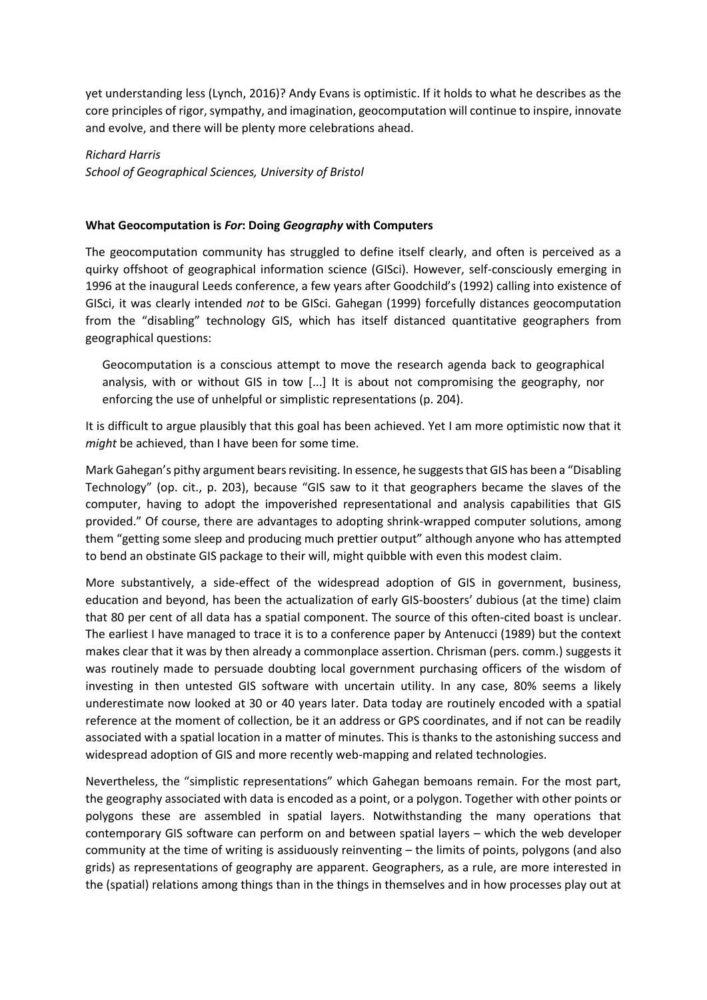yet understanding less (Lynch, 2016)? Andy Evans is optimistic. If it holds to what he describes as the core principles of rigor, sympathy, and imagination, geocomputation will continue to inspire, innovate and evolve, and there will be plenty more celebrations ahead.

*Richard Harris School of Geographical Sciences, University of Bristol*

### **What Geocomputation is** *For***: Doing** *Geography* **with Computers**

The geocomputation community has struggled to define itself clearly, and often is perceived as a quirky offshoot of geographical information science (GISci). However, self-consciously emerging in 1996 at the inaugural Leeds conference, a few years after Goodchild's (1992) calling into existence of GISci, it was clearly intended *not* to be GISci. Gahegan (1999) forcefully distances geocomputation from the "disabling" technology GIS, which has itself distanced quantitative geographers from geographical questions:

Geocomputation is a conscious attempt to move the research agenda back to geographical analysis, with or without GIS in tow [...] It is about not compromising the geography, nor enforcing the use of unhelpful or simplistic representations (p. 204).

It is difficult to argue plausibly that this goal has been achieved. Yet I am more optimistic now that it *might* be achieved, than I have been for some time.

Mark Gahegan's pithy argument bears revisiting. In essence, he suggests that GIS has been a "Disabling Technology" (op. cit., p. 203), because "GIS saw to it that geographers became the slaves of the computer, having to adopt the impoverished representational and analysis capabilities that GIS provided." Of course, there are advantages to adopting shrink-wrapped computer solutions, among them "getting some sleep and producing much prettier output" although anyone who has attempted to bend an obstinate GIS package to their will, might quibble with even this modest claim.

More substantively, a side-effect of the widespread adoption of GIS in government, business, education and beyond, has been the actualization of early GIS-boosters' dubious (at the time) claim that 80 per cent of all data has a spatial component. The source of this often-cited boast is unclear. The earliest I have managed to trace it is to a conference paper by Antenucci (1989) but the context makes clear that it was by then already a commonplace assertion. Chrisman (pers. comm.) suggests it was routinely made to persuade doubting local government purchasing officers of the wisdom of investing in then untested GIS software with uncertain utility. In any case, 80% seems a likely underestimate now looked at 30 or 40 years later. Data today are routinely encoded with a spatial reference at the moment of collection, be it an address or GPS coordinates, and if not can be readily associated with a spatial location in a matter of minutes. This is thanks to the astonishing success and widespread adoption of GIS and more recently web-mapping and related technologies.

Nevertheless, the "simplistic representations" which Gahegan bemoans remain. For the most part, the geography associated with data is encoded as a point, or a polygon. Together with other points or polygons these are assembled in spatial layers. Notwithstanding the many operations that contemporary GIS software can perform on and between spatial layers – which the web developer community at the time of writing is assiduously reinventing – the limits of points, polygons (and also grids) as representations of geography are apparent. Geographers, as a rule, are more interested in the (spatial) relations among things than in the things in themselves and in how processes play out at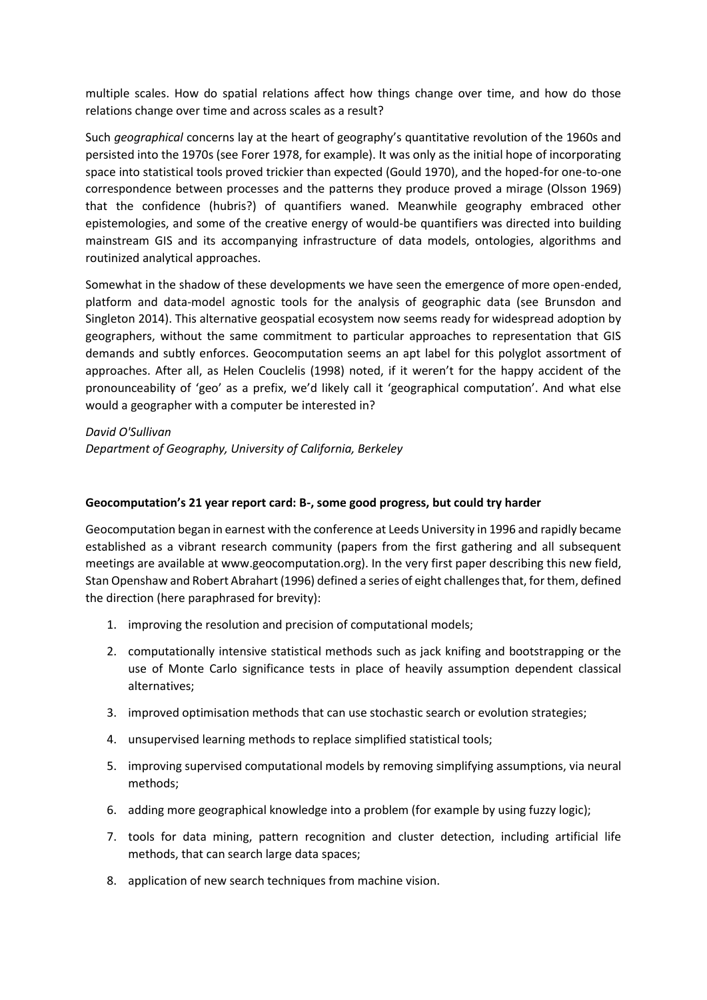multiple scales. How do spatial relations affect how things change over time, and how do those relations change over time and across scales as a result?

Such *geographical* concerns lay at the heart of geography's quantitative revolution of the 1960s and persisted into the 1970s (see Forer 1978, for example). It was only as the initial hope of incorporating space into statistical tools proved trickier than expected (Gould 1970), and the hoped-for one-to-one correspondence between processes and the patterns they produce proved a mirage (Olsson 1969) that the confidence (hubris?) of quantifiers waned. Meanwhile geography embraced other epistemologies, and some of the creative energy of would-be quantifiers was directed into building mainstream GIS and its accompanying infrastructure of data models, ontologies, algorithms and routinized analytical approaches.

Somewhat in the shadow of these developments we have seen the emergence of more open-ended, platform and data-model agnostic tools for the analysis of geographic data (see Brunsdon and Singleton 2014). This alternative geospatial ecosystem now seems ready for widespread adoption by geographers, without the same commitment to particular approaches to representation that GIS demands and subtly enforces. Geocomputation seems an apt label for this polyglot assortment of approaches. After all, as Helen Couclelis (1998) noted, if it weren't for the happy accident of the pronounceability of 'geo' as a prefix, we'd likely call it 'geographical computation'. And what else would a geographer with a computer be interested in?

*David O'Sullivan*

*Department of Geography, University of California, Berkeley*

### **Geocomputation's 21 year report card: B-, some good progress, but could try harder**

Geocomputation began in earnest with the conference at Leeds University in 1996 and rapidly became established as a vibrant research community (papers from the first gathering and all subsequent meetings are available at www.geocomputation.org). In the very first paper describing this new field, Stan Openshaw and Robert Abrahart (1996) defined a series of eight challenges that, for them, defined the direction (here paraphrased for brevity):

- 1. improving the resolution and precision of computational models;
- 2. computationally intensive statistical methods such as jack knifing and bootstrapping or the use of Monte Carlo significance tests in place of heavily assumption dependent classical alternatives;
- 3. improved optimisation methods that can use stochastic search or evolution strategies;
- 4. unsupervised learning methods to replace simplified statistical tools;
- 5. improving supervised computational models by removing simplifying assumptions, via neural methods;
- 6. adding more geographical knowledge into a problem (for example by using fuzzy logic);
- 7. tools for data mining, pattern recognition and cluster detection, including artificial life methods, that can search large data spaces;
- 8. application of new search techniques from machine vision.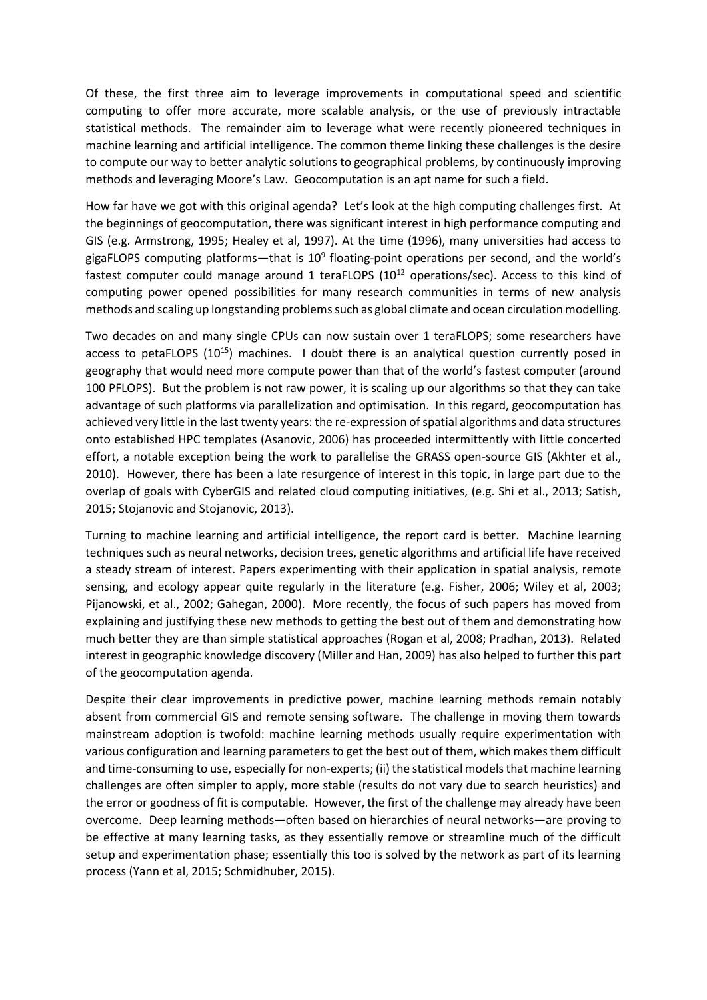Of these, the first three aim to leverage improvements in computational speed and scientific computing to offer more accurate, more scalable analysis, or the use of previously intractable statistical methods. The remainder aim to leverage what were recently pioneered techniques in machine learning and artificial intelligence. The common theme linking these challenges is the desire to compute our way to better analytic solutions to geographical problems, by continuously improving methods and leveraging Moore's Law. Geocomputation is an apt name for such a field.

How far have we got with this original agenda? Let's look at the high computing challenges first. At the beginnings of geocomputation, there was significant interest in high performance computing and GIS (e.g. Armstrong, 1995; Healey et al, 1997). At the time (1996), many universities had access to gigaFLOPS computing platforms—that is 10<sup>9</sup> floating-point operations per second, and the world's fastest computer could manage around 1 teraFLOPS (10<sup>12</sup> operations/sec). Access to this kind of computing power opened possibilities for many research communities in terms of new analysis methods and scaling up longstanding problems such as global climate and ocean circulation modelling.

Two decades on and many single CPUs can now sustain over 1 teraFLOPS; some researchers have access to petaFLOPS  $(10^{15})$  machines. I doubt there is an analytical question currently posed in geography that would need more compute power than that of the world's fastest computer (around 100 PFLOPS). But the problem is not raw power, it is scaling up our algorithms so that they can take advantage of such platforms via parallelization and optimisation. In this regard, geocomputation has achieved very little in the last twenty years: the re-expression of spatial algorithms and data structures onto established HPC templates (Asanovic, 2006) has proceeded intermittently with little concerted effort, a notable exception being the work to parallelise the GRASS open-source GIS (Akhter et al., 2010). However, there has been a late resurgence of interest in this topic, in large part due to the overlap of goals with CyberGIS and related cloud computing initiatives, (e.g. Shi et al., 2013; Satish, 2015; Stojanovic and Stojanovic, 2013).

Turning to machine learning and artificial intelligence, the report card is better. Machine learning techniques such as neural networks, decision trees, genetic algorithms and artificial life have received a steady stream of interest. Papers experimenting with their application in spatial analysis, remote sensing, and ecology appear quite regularly in the literature (e.g. Fisher, 2006; Wiley et al, 2003; Pijanowski, et al., 2002; Gahegan, 2000). More recently, the focus of such papers has moved from explaining and justifying these new methods to getting the best out of them and demonstrating how much better they are than simple statistical approaches (Rogan et al, 2008; Pradhan, 2013). Related interest in geographic knowledge discovery (Miller and Han, 2009) has also helped to further this part of the geocomputation agenda.

Despite their clear improvements in predictive power, machine learning methods remain notably absent from commercial GIS and remote sensing software. The challenge in moving them towards mainstream adoption is twofold: machine learning methods usually require experimentation with various configuration and learning parameters to get the best out of them, which makes them difficult and time-consuming to use, especially for non-experts; (ii) the statistical models that machine learning challenges are often simpler to apply, more stable (results do not vary due to search heuristics) and the error or goodness of fit is computable. However, the first of the challenge may already have been overcome. Deep learning methods—often based on hierarchies of neural networks—are proving to be effective at many learning tasks, as they essentially remove or streamline much of the difficult setup and experimentation phase; essentially this too is solved by the network as part of its learning process (Yann et al, 2015; Schmidhuber, 2015).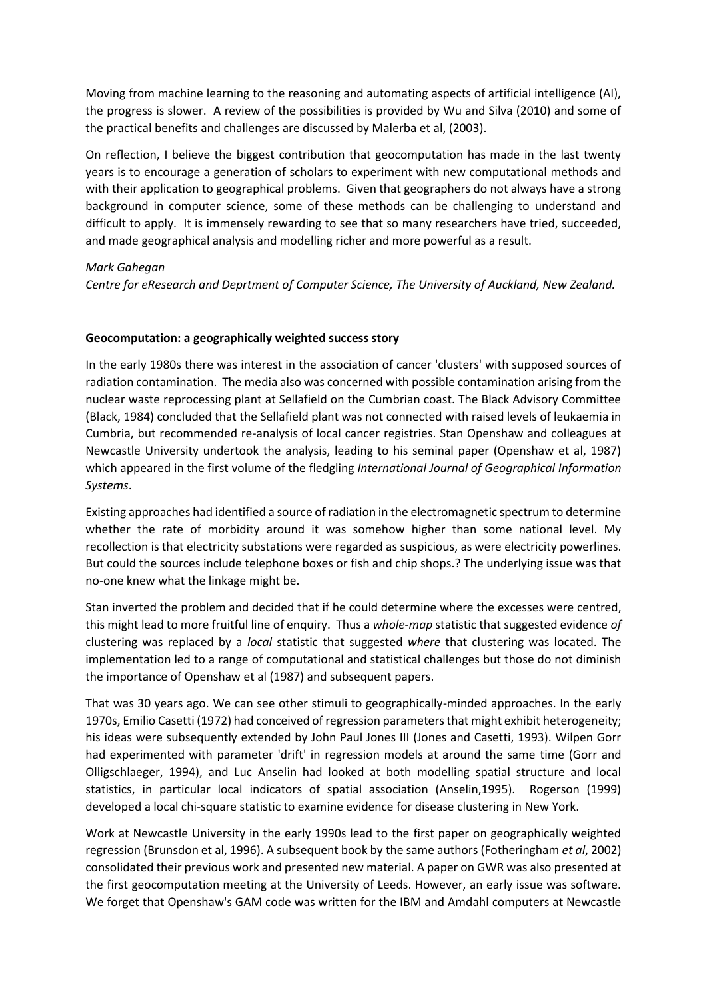Moving from machine learning to the reasoning and automating aspects of artificial intelligence (AI), the progress is slower. A review of the possibilities is provided by Wu and Silva (2010) and some of the practical benefits and challenges are discussed by Malerba et al, (2003).

On reflection, I believe the biggest contribution that geocomputation has made in the last twenty years is to encourage a generation of scholars to experiment with new computational methods and with their application to geographical problems. Given that geographers do not always have a strong background in computer science, some of these methods can be challenging to understand and difficult to apply. It is immensely rewarding to see that so many researchers have tried, succeeded, and made geographical analysis and modelling richer and more powerful as a result.

## *Mark Gahegan*

*Centre for eResearch and Deprtment of Computer Science, The University of Auckland, New Zealand.*

## **Geocomputation: a geographically weighted success story**

In the early 1980s there was interest in the association of cancer 'clusters' with supposed sources of radiation contamination. The media also was concerned with possible contamination arising from the nuclear waste reprocessing plant at Sellafield on the Cumbrian coast. The Black Advisory Committee (Black, 1984) concluded that the Sellafield plant was not connected with raised levels of leukaemia in Cumbria, but recommended re-analysis of local cancer registries. Stan Openshaw and colleagues at Newcastle University undertook the analysis, leading to his seminal paper (Openshaw et al, 1987) which appeared in the first volume of the fledgling *International Journal of Geographical Information Systems*.

Existing approaches had identified a source of radiation in the electromagnetic spectrum to determine whether the rate of morbidity around it was somehow higher than some national level. My recollection is that electricity substations were regarded as suspicious, as were electricity powerlines. But could the sources include telephone boxes or fish and chip shops.? The underlying issue was that no-one knew what the linkage might be.

Stan inverted the problem and decided that if he could determine where the excesses were centred, this might lead to more fruitful line of enquiry. Thus a *whole-map* statistic that suggested evidence *of* clustering was replaced by a *local* statistic that suggested *where* that clustering was located. The implementation led to a range of computational and statistical challenges but those do not diminish the importance of Openshaw et al (1987) and subsequent papers.

That was 30 years ago. We can see other stimuli to geographically-minded approaches. In the early 1970s, Emilio Casetti (1972) had conceived of regression parameters that might exhibit heterogeneity; his ideas were subsequently extended by John Paul Jones III (Jones and Casetti, 1993). Wilpen Gorr had experimented with parameter 'drift' in regression models at around the same time (Gorr and Olligschlaeger, 1994), and Luc Anselin had looked at both modelling spatial structure and local statistics, in particular local indicators of spatial association (Anselin,1995). Rogerson (1999) developed a local chi-square statistic to examine evidence for disease clustering in New York.

Work at Newcastle University in the early 1990s lead to the first paper on geographically weighted regression (Brunsdon et al, 1996). A subsequent book by the same authors (Fotheringham *et al*, 2002) consolidated their previous work and presented new material. A paper on GWR was also presented at the first geocomputation meeting at the University of Leeds. However, an early issue was software. We forget that Openshaw's GAM code was written for the IBM and Amdahl computers at Newcastle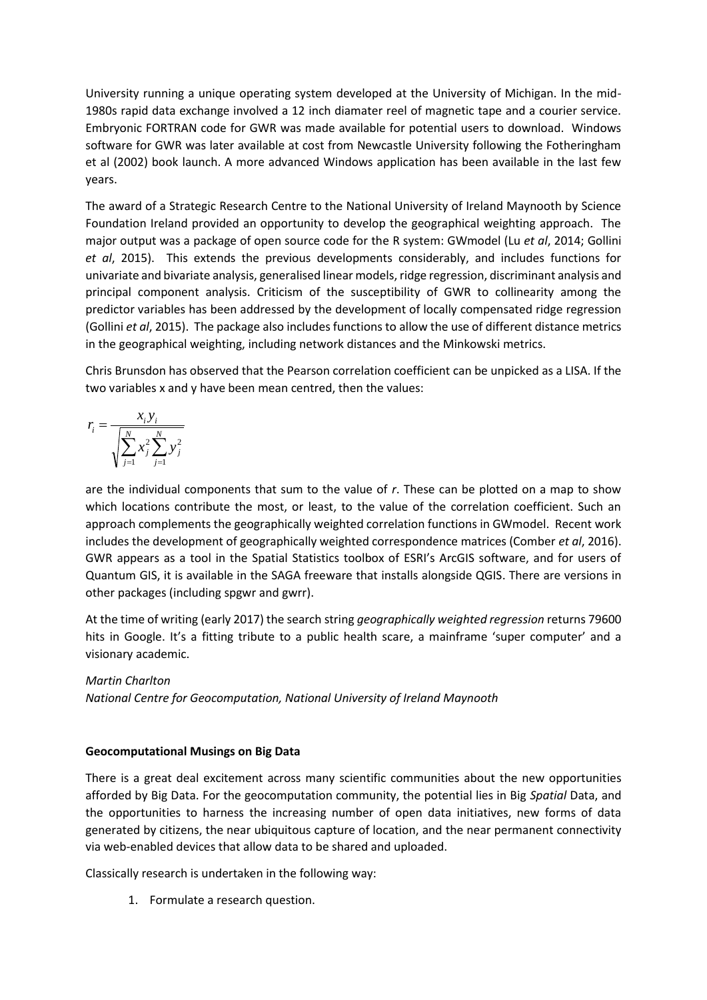University running a unique operating system developed at the University of Michigan. In the mid-1980s rapid data exchange involved a 12 inch diamater reel of magnetic tape and a courier service. Embryonic FORTRAN code for GWR was made available for potential users to download. Windows software for GWR was later available at cost from Newcastle University following the Fotheringham et al (2002) book launch. A more advanced Windows application has been available in the last few years.

The award of a Strategic Research Centre to the National University of Ireland Maynooth by Science Foundation Ireland provided an opportunity to develop the geographical weighting approach. The major output was a package of open source code for the R system: GWmodel (Lu *et al*, 2014; Gollini *et al*, 2015). This extends the previous developments considerably, and includes functions for univariate and bivariate analysis, generalised linear models, ridge regression, discriminant analysis and principal component analysis. Criticism of the susceptibility of GWR to collinearity among the predictor variables has been addressed by the development of locally compensated ridge regression (Gollini *et al*, 2015). The package also includes functions to allow the use of different distance metrics in the geographical weighting, including network distances and the Minkowski metrics.

Chris Brunsdon has observed that the Pearson correlation coefficient can be unpicked as a LISA. If the two variables x and y have been mean centred, then the values:

$$
r_i = \frac{x_i y_i}{\sqrt{\sum_{j=1}^{N} x_j^2 \sum_{j=1}^{N} y_j^2}}
$$

are the individual components that sum to the value of *r*. These can be plotted on a map to show which locations contribute the most, or least, to the value of the correlation coefficient. Such an approach complements the geographically weighted correlation functions in GWmodel. Recent work includes the development of geographically weighted correspondence matrices (Comber *et al*, 2016). GWR appears as a tool in the Spatial Statistics toolbox of ESRI's ArcGIS software, and for users of Quantum GIS, it is available in the SAGA freeware that installs alongside QGIS. There are versions in other packages (including spgwr and gwrr).

At the time of writing (early 2017) the search string *geographically weighted regression* returns 79600 hits in Google. It's a fitting tribute to a public health scare, a mainframe 'super computer' and a visionary academic.

# *Martin Charlton*

*National Centre for Geocomputation, National University of Ireland Maynooth*

### **Geocomputational Musings on Big Data**

There is a great deal excitement across many scientific communities about the new opportunities afforded by Big Data. For the geocomputation community, the potential lies in Big *Spatial* Data, and the opportunities to harness the increasing number of open data initiatives, new forms of data generated by citizens, the near ubiquitous capture of location, and the near permanent connectivity via web-enabled devices that allow data to be shared and uploaded.

Classically research is undertaken in the following way:

1. Formulate a research question.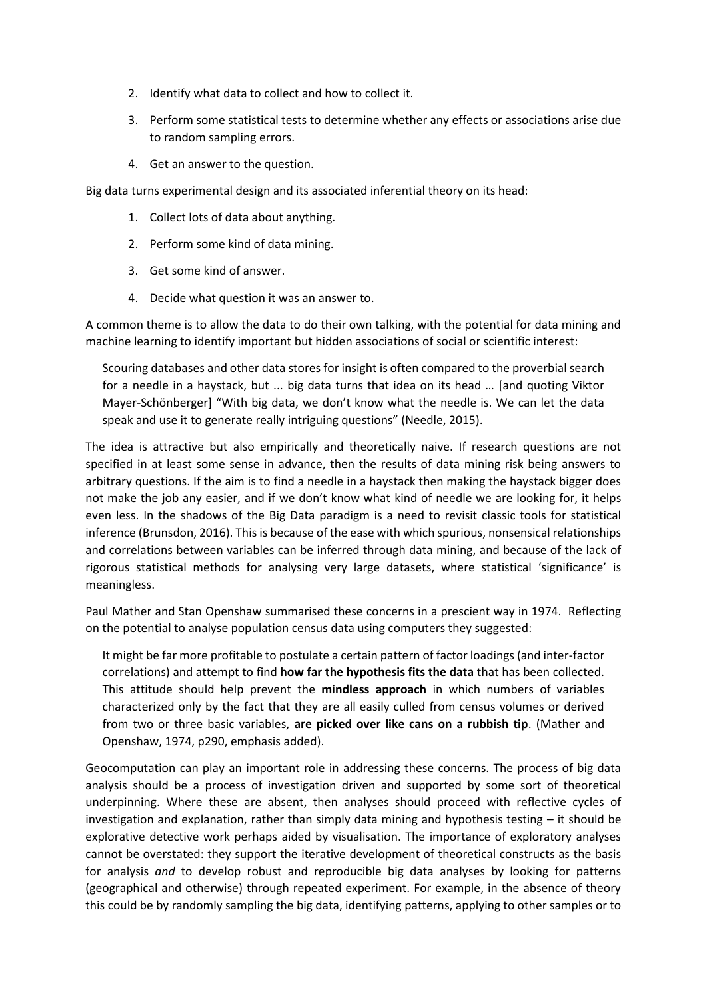- 2. Identify what data to collect and how to collect it.
- 3. Perform some statistical tests to determine whether any effects or associations arise due to random sampling errors.
- 4. Get an answer to the question.

Big data turns experimental design and its associated inferential theory on its head:

- 1. Collect lots of data about anything.
- 2. Perform some kind of data mining.
- 3. Get some kind of answer.
- 4. Decide what question it was an answer to.

A common theme is to allow the data to do their own talking, with the potential for data mining and machine learning to identify important but hidden associations of social or scientific interest:

Scouring databases and other data stores for insight is often compared to the proverbial search for a needle in a haystack, but ... big data turns that idea on its head … [and quoting Viktor Mayer-Schönberger] "With big data, we don't know what the needle is. We can let the data speak and use it to generate really intriguing questions" (Needle, 2015).

The idea is attractive but also empirically and theoretically naive. If research questions are not specified in at least some sense in advance, then the results of data mining risk being answers to arbitrary questions. If the aim is to find a needle in a haystack then making the haystack bigger does not make the job any easier, and if we don't know what kind of needle we are looking for, it helps even less. In the shadows of the Big Data paradigm is a need to revisit classic tools for statistical inference (Brunsdon, 2016). This is because of the ease with which spurious, nonsensical relationships and correlations between variables can be inferred through data mining, and because of the lack of rigorous statistical methods for analysing very large datasets, where statistical 'significance' is meaningless.

Paul Mather and Stan Openshaw summarised these concerns in a prescient way in 1974. Reflecting on the potential to analyse population census data using computers they suggested:

It might be far more profitable to postulate a certain pattern of factor loadings (and inter-factor correlations) and attempt to find **how far the hypothesis fits the data** that has been collected. This attitude should help prevent the **mindless approach** in which numbers of variables characterized only by the fact that they are all easily culled from census volumes or derived from two or three basic variables, **are picked over like cans on a rubbish tip**. (Mather and Openshaw, 1974, p290, emphasis added).

Geocomputation can play an important role in addressing these concerns. The process of big data analysis should be a process of investigation driven and supported by some sort of theoretical underpinning. Where these are absent, then analyses should proceed with reflective cycles of investigation and explanation, rather than simply data mining and hypothesis testing – it should be explorative detective work perhaps aided by visualisation. The importance of exploratory analyses cannot be overstated: they support the iterative development of theoretical constructs as the basis for analysis *and* to develop robust and reproducible big data analyses by looking for patterns (geographical and otherwise) through repeated experiment. For example, in the absence of theory this could be by randomly sampling the big data, identifying patterns, applying to other samples or to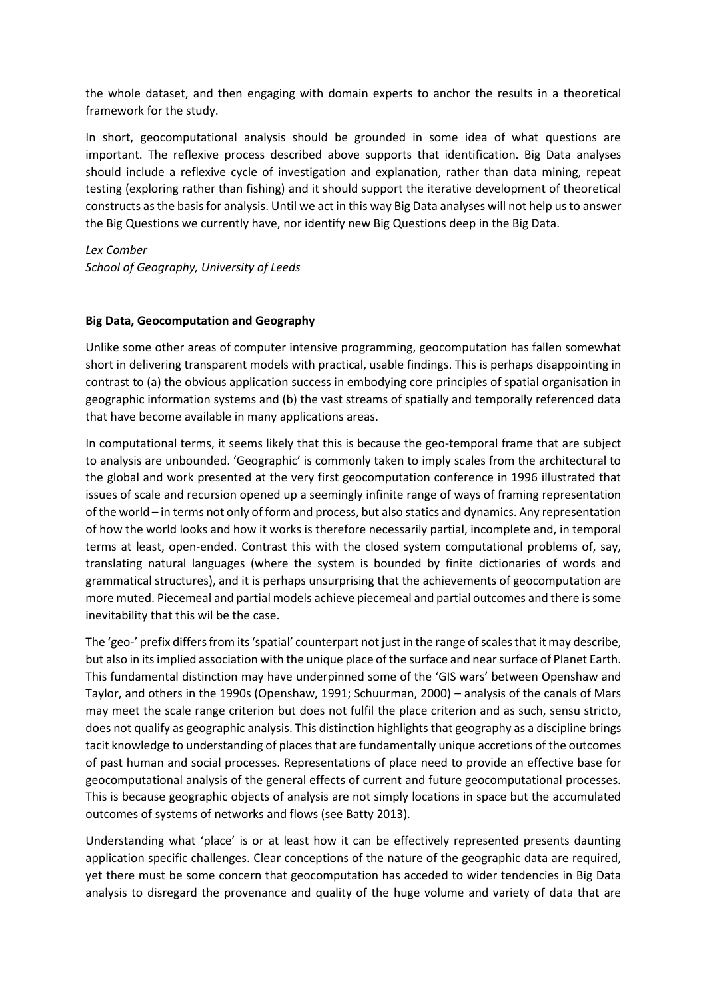the whole dataset, and then engaging with domain experts to anchor the results in a theoretical framework for the study.

In short, geocomputational analysis should be grounded in some idea of what questions are important. The reflexive process described above supports that identification. Big Data analyses should include a reflexive cycle of investigation and explanation, rather than data mining, repeat testing (exploring rather than fishing) and it should support the iterative development of theoretical constructs as the basis for analysis. Until we act in this way Big Data analyses will not help us to answer the Big Questions we currently have, nor identify new Big Questions deep in the Big Data.

*Lex Comber School of Geography, University of Leeds*

## **Big Data, Geocomputation and Geography**

Unlike some other areas of computer intensive programming, geocomputation has fallen somewhat short in delivering transparent models with practical, usable findings. This is perhaps disappointing in contrast to (a) the obvious application success in embodying core principles of spatial organisation in geographic information systems and (b) the vast streams of spatially and temporally referenced data that have become available in many applications areas.

In computational terms, it seems likely that this is because the geo-temporal frame that are subject to analysis are unbounded. 'Geographic' is commonly taken to imply scales from the architectural to the global and work presented at the very first geocomputation conference in 1996 illustrated that issues of scale and recursion opened up a seemingly infinite range of ways of framing representation of the world – in terms not only of form and process, but also statics and dynamics. Any representation of how the world looks and how it works is therefore necessarily partial, incomplete and, in temporal terms at least, open-ended. Contrast this with the closed system computational problems of, say, translating natural languages (where the system is bounded by finite dictionaries of words and grammatical structures), and it is perhaps unsurprising that the achievements of geocomputation are more muted. Piecemeal and partial models achieve piecemeal and partial outcomes and there is some inevitability that this wil be the case.

The 'geo-' prefix differs from its 'spatial' counterpart not just in the range of scales that it may describe, but also in its implied association with the unique place of the surface and near surface of Planet Earth. This fundamental distinction may have underpinned some of the 'GIS wars' between Openshaw and Taylor, and others in the 1990s (Openshaw, 1991; Schuurman, 2000) – analysis of the canals of Mars may meet the scale range criterion but does not fulfil the place criterion and as such, sensu stricto, does not qualify as geographic analysis. This distinction highlights that geography as a discipline brings tacit knowledge to understanding of places that are fundamentally unique accretions of the outcomes of past human and social processes. Representations of place need to provide an effective base for geocomputational analysis of the general effects of current and future geocomputational processes. This is because geographic objects of analysis are not simply locations in space but the accumulated outcomes of systems of networks and flows (see Batty 2013).

Understanding what 'place' is or at least how it can be effectively represented presents daunting application specific challenges. Clear conceptions of the nature of the geographic data are required, yet there must be some concern that geocomputation has acceded to wider tendencies in Big Data analysis to disregard the provenance and quality of the huge volume and variety of data that are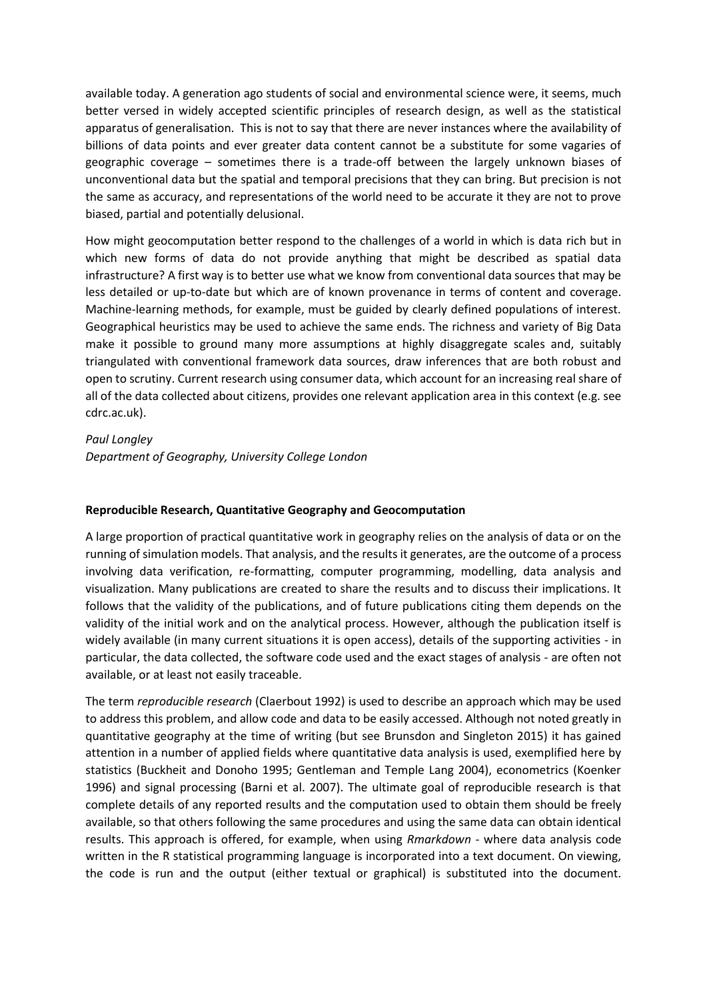available today. A generation ago students of social and environmental science were, it seems, much better versed in widely accepted scientific principles of research design, as well as the statistical apparatus of generalisation. This is not to say that there are never instances where the availability of billions of data points and ever greater data content cannot be a substitute for some vagaries of geographic coverage – sometimes there is a trade-off between the largely unknown biases of unconventional data but the spatial and temporal precisions that they can bring. But precision is not the same as accuracy, and representations of the world need to be accurate it they are not to prove biased, partial and potentially delusional.

How might geocomputation better respond to the challenges of a world in which is data rich but in which new forms of data do not provide anything that might be described as spatial data infrastructure? A first way is to better use what we know from conventional data sources that may be less detailed or up-to-date but which are of known provenance in terms of content and coverage. Machine-learning methods, for example, must be guided by clearly defined populations of interest. Geographical heuristics may be used to achieve the same ends. The richness and variety of Big Data make it possible to ground many more assumptions at highly disaggregate scales and, suitably triangulated with conventional framework data sources, draw inferences that are both robust and open to scrutiny. Current research using consumer data, which account for an increasing real share of all of the data collected about citizens, provides one relevant application area in this context (e.g. see cdrc.ac.uk).

### *Paul Longley*

*Department of Geography, University College London*

# **Reproducible Research, Quantitative Geography and Geocomputation**

A large proportion of practical quantitative work in geography relies on the analysis of data or on the running of simulation models. That analysis, and the results it generates, are the outcome of a process involving data verification, re-formatting, computer programming, modelling, data analysis and visualization. Many publications are created to share the results and to discuss their implications. It follows that the validity of the publications, and of future publications citing them depends on the validity of the initial work and on the analytical process. However, although the publication itself is widely available (in many current situations it is open access), details of the supporting activities - in particular, the data collected, the software code used and the exact stages of analysis - are often not available, or at least not easily traceable.

The term *reproducible research* (Claerbout 1992) is used to describe an approach which may be used to address this problem, and allow code and data to be easily accessed. Although not noted greatly in quantitative geography at the time of writing (but see Brunsdon and Singleton 2015) it has gained attention in a number of applied fields where quantitative data analysis is used, exemplified here by statistics (Buckheit and Donoho 1995; Gentleman and Temple Lang 2004), econometrics (Koenker 1996) and signal processing (Barni et al. 2007). The ultimate goal of reproducible research is that complete details of any reported results and the computation used to obtain them should be freely available, so that others following the same procedures and using the same data can obtain identical results. This approach is offered, for example, when using *Rmarkdown* - where data analysis code written in the R statistical programming language is incorporated into a text document. On viewing, the code is run and the output (either textual or graphical) is substituted into the document.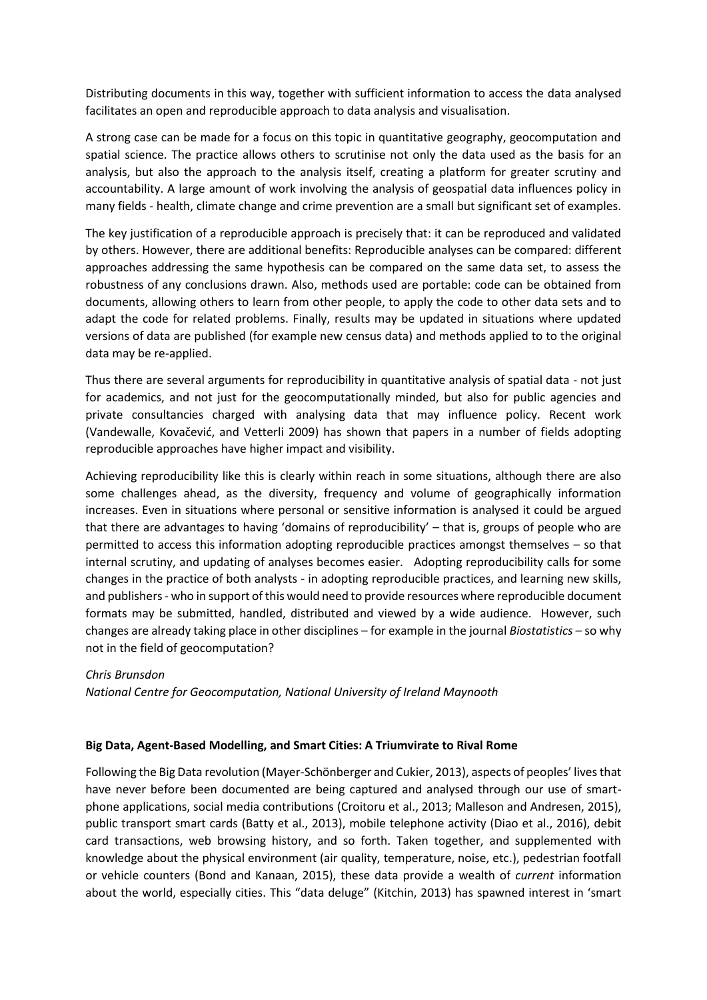Distributing documents in this way, together with sufficient information to access the data analysed facilitates an open and reproducible approach to data analysis and visualisation.

A strong case can be made for a focus on this topic in quantitative geography, geocomputation and spatial science. The practice allows others to scrutinise not only the data used as the basis for an analysis, but also the approach to the analysis itself, creating a platform for greater scrutiny and accountability. A large amount of work involving the analysis of geospatial data influences policy in many fields - health, climate change and crime prevention are a small but significant set of examples.

The key justification of a reproducible approach is precisely that: it can be reproduced and validated by others. However, there are additional benefits: Reproducible analyses can be compared: different approaches addressing the same hypothesis can be compared on the same data set, to assess the robustness of any conclusions drawn. Also, methods used are portable: code can be obtained from documents, allowing others to learn from other people, to apply the code to other data sets and to adapt the code for related problems. Finally, results may be updated in situations where updated versions of data are published (for example new census data) and methods applied to to the original data may be re-applied.

Thus there are several arguments for reproducibility in quantitative analysis of spatial data - not just for academics, and not just for the geocomputationally minded, but also for public agencies and private consultancies charged with analysing data that may influence policy. Recent work (Vandewalle, Kovačević, and Vetterli 2009) has shown that papers in a number of fields adopting reproducible approaches have higher impact and visibility.

Achieving reproducibility like this is clearly within reach in some situations, although there are also some challenges ahead, as the diversity, frequency and volume of geographically information increases. Even in situations where personal or sensitive information is analysed it could be argued that there are advantages to having 'domains of reproducibility' – that is, groups of people who are permitted to access this information adopting reproducible practices amongst themselves – so that internal scrutiny, and updating of analyses becomes easier. Adopting reproducibility calls for some changes in the practice of both analysts - in adopting reproducible practices, and learning new skills, and publishers - who in support of this would need to provide resources where reproducible document formats may be submitted, handled, distributed and viewed by a wide audience. However, such changes are already taking place in other disciplines – for example in the journal *Biostatistics* – so why not in the field of geocomputation?

# *Chris Brunsdon*

*National Centre for Geocomputation, National University of Ireland Maynooth*

### **Big Data, Agent-Based Modelling, and Smart Cities: A Triumvirate to Rival Rome**

Following the Big Data revolution (Mayer-Schönberger and Cukier, 2013), aspects of peoples' lives that have never before been documented are being captured and analysed through our use of smartphone applications, social media contributions (Croitoru et al., 2013; Malleson and Andresen, 2015), public transport smart cards (Batty et al., 2013), mobile telephone activity (Diao et al., 2016), debit card transactions, web browsing history, and so forth. Taken together, and supplemented with knowledge about the physical environment (air quality, temperature, noise, etc.), pedestrian footfall or vehicle counters (Bond and Kanaan, 2015), these data provide a wealth of *current* information about the world, especially cities. This "data deluge" (Kitchin, 2013) has spawned interest in 'smart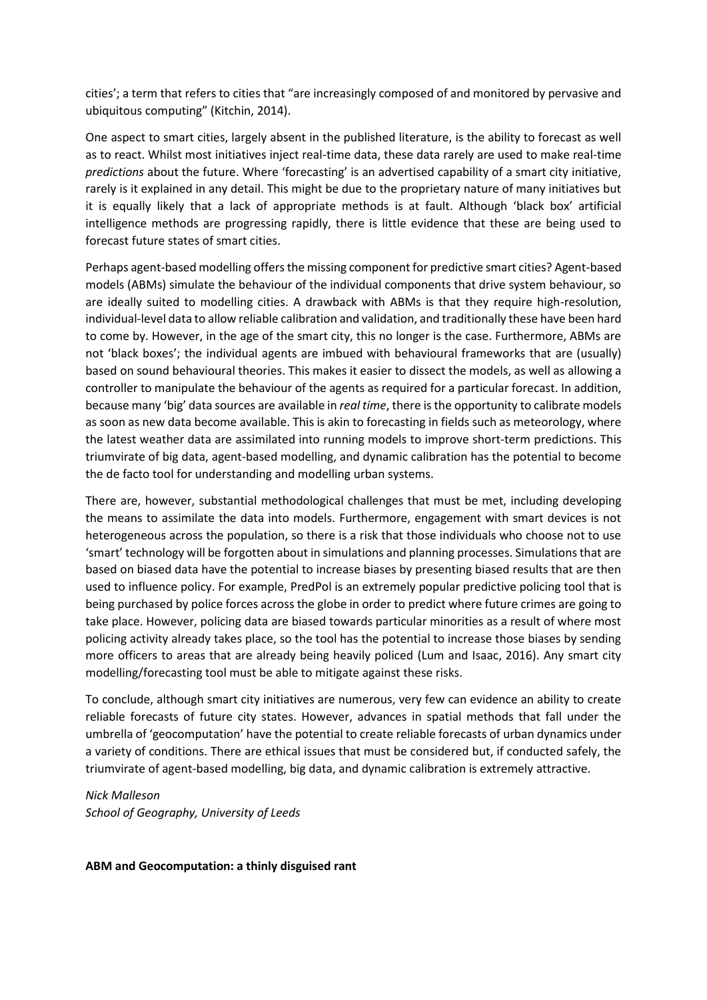cities'; a term that refers to cities that "are increasingly composed of and monitored by pervasive and ubiquitous computing" (Kitchin, 2014).

One aspect to smart cities, largely absent in the published literature, is the ability to forecast as well as to react. Whilst most initiatives inject real-time data, these data rarely are used to make real-time *predictions* about the future. Where 'forecasting' is an advertised capability of a smart city initiative, rarely is it explained in any detail. This might be due to the proprietary nature of many initiatives but it is equally likely that a lack of appropriate methods is at fault. Although 'black box' artificial intelligence methods are progressing rapidly, there is little evidence that these are being used to forecast future states of smart cities.

Perhaps agent-based modelling offers the missing component for predictive smart cities? Agent-based models (ABMs) simulate the behaviour of the individual components that drive system behaviour, so are ideally suited to modelling cities. A drawback with ABMs is that they require high-resolution, individual-level data to allow reliable calibration and validation, and traditionally these have been hard to come by. However, in the age of the smart city, this no longer is the case. Furthermore, ABMs are not 'black boxes'; the individual agents are imbued with behavioural frameworks that are (usually) based on sound behavioural theories. This makes it easier to dissect the models, as well as allowing a controller to manipulate the behaviour of the agents as required for a particular forecast. In addition, because many 'big' data sources are available in *real time*, there is the opportunity to calibrate models as soon as new data become available. This is akin to forecasting in fields such as meteorology, where the latest weather data are assimilated into running models to improve short-term predictions. This triumvirate of big data, agent-based modelling, and dynamic calibration has the potential to become the de facto tool for understanding and modelling urban systems.

There are, however, substantial methodological challenges that must be met, including developing the means to assimilate the data into models. Furthermore, engagement with smart devices is not heterogeneous across the population, so there is a risk that those individuals who choose not to use 'smart' technology will be forgotten about in simulations and planning processes. Simulations that are based on biased data have the potential to increase biases by presenting biased results that are then used to influence policy. For example, PredPol is an extremely popular predictive policing tool that is being purchased by police forces across the globe in order to predict where future crimes are going to take place. However, policing data are biased towards particular minorities as a result of where most policing activity already takes place, so the tool has the potential to increase those biases by sending more officers to areas that are already being heavily policed (Lum and Isaac, 2016). Any smart city modelling/forecasting tool must be able to mitigate against these risks.

To conclude, although smart city initiatives are numerous, very few can evidence an ability to create reliable forecasts of future city states. However, advances in spatial methods that fall under the umbrella of 'geocomputation' have the potential to create reliable forecasts of urban dynamics under a variety of conditions. There are ethical issues that must be considered but, if conducted safely, the triumvirate of agent-based modelling, big data, and dynamic calibration is extremely attractive.

#### *Nick Malleson School of Geography, University of Leeds*

### **ABM and Geocomputation: a thinly disguised rant**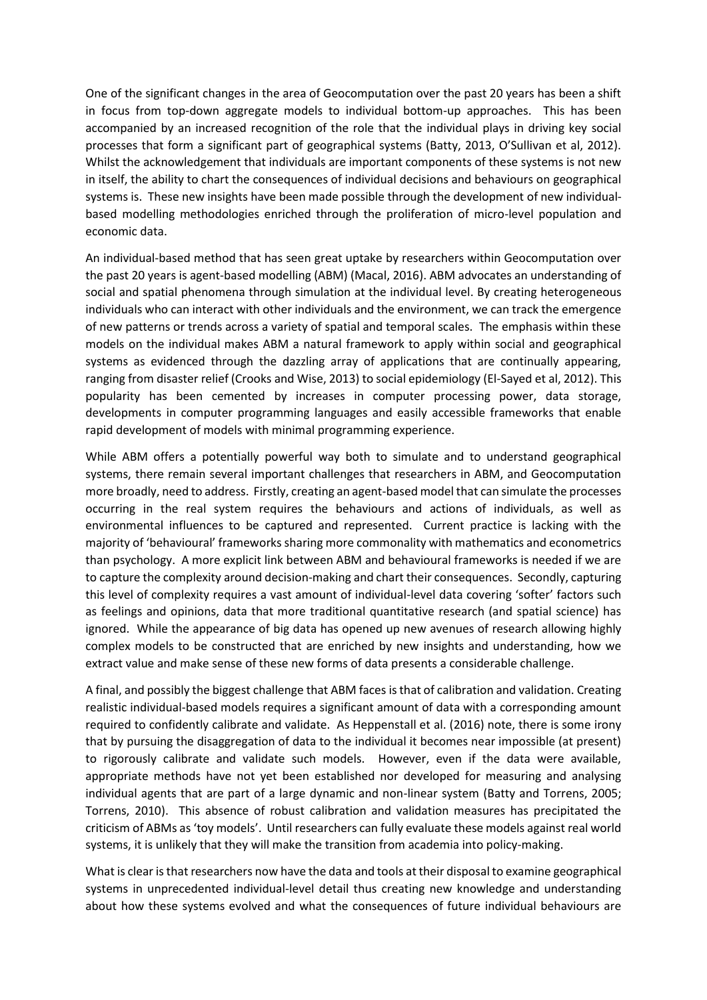One of the significant changes in the area of Geocomputation over the past 20 years has been a shift in focus from top-down aggregate models to individual bottom-up approaches. This has been accompanied by an increased recognition of the role that the individual plays in driving key social processes that form a significant part of geographical systems (Batty, 2013, O'Sullivan et al, 2012). Whilst the acknowledgement that individuals are important components of these systems is not new in itself, the ability to chart the consequences of individual decisions and behaviours on geographical systems is. These new insights have been made possible through the development of new individualbased modelling methodologies enriched through the proliferation of micro-level population and economic data.

An individual-based method that has seen great uptake by researchers within Geocomputation over the past 20 years is agent-based modelling (ABM) (Macal, 2016). ABM advocates an understanding of social and spatial phenomena through simulation at the individual level. By creating heterogeneous individuals who can interact with other individuals and the environment, we can track the emergence of new patterns or trends across a variety of spatial and temporal scales. The emphasis within these models on the individual makes ABM a natural framework to apply within social and geographical systems as evidenced through the dazzling array of applications that are continually appearing, ranging from disaster relief (Crooks and Wise, 2013) to social epidemiology (El-Sayed et al, 2012). This popularity has been cemented by increases in computer processing power, data storage, developments in computer programming languages and easily accessible frameworks that enable rapid development of models with minimal programming experience.

While ABM offers a potentially powerful way both to simulate and to understand geographical systems, there remain several important challenges that researchers in ABM, and Geocomputation more broadly, need to address. Firstly, creating an agent-based model that can simulate the processes occurring in the real system requires the behaviours and actions of individuals, as well as environmental influences to be captured and represented. Current practice is lacking with the majority of 'behavioural' frameworks sharing more commonality with mathematics and econometrics than psychology. A more explicit link between ABM and behavioural frameworks is needed if we are to capture the complexity around decision-making and chart their consequences. Secondly, capturing this level of complexity requires a vast amount of individual-level data covering 'softer' factors such as feelings and opinions, data that more traditional quantitative research (and spatial science) has ignored. While the appearance of big data has opened up new avenues of research allowing highly complex models to be constructed that are enriched by new insights and understanding, how we extract value and make sense of these new forms of data presents a considerable challenge.

A final, and possibly the biggest challenge that ABM faces is that of calibration and validation. Creating realistic individual-based models requires a significant amount of data with a corresponding amount required to confidently calibrate and validate. As Heppenstall et al. (2016) note, there is some irony that by pursuing the disaggregation of data to the individual it becomes near impossible (at present) to rigorously calibrate and validate such models. However, even if the data were available, appropriate methods have not yet been established nor developed for measuring and analysing individual agents that are part of a large dynamic and non-linear system (Batty and Torrens, 2005; Torrens, 2010). This absence of robust calibration and validation measures has precipitated the criticism of ABMs as 'toy models'. Until researchers can fully evaluate these models against real world systems, it is unlikely that they will make the transition from academia into policy-making.

What is clear is that researchers now have the data and tools at their disposal to examine geographical systems in unprecedented individual-level detail thus creating new knowledge and understanding about how these systems evolved and what the consequences of future individual behaviours are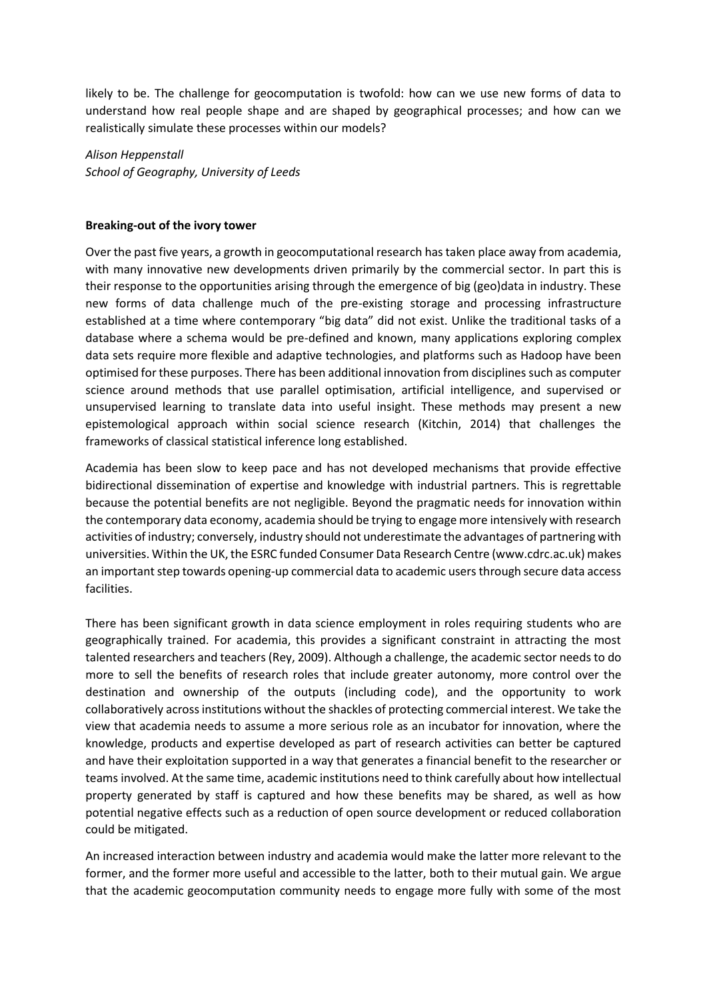likely to be. The challenge for geocomputation is twofold: how can we use new forms of data to understand how real people shape and are shaped by geographical processes; and how can we realistically simulate these processes within our models?

*Alison Heppenstall School of Geography, University of Leeds*

#### **Breaking-out of the ivory tower**

Over the past five years, a growth in geocomputational research has taken place away from academia, with many innovative new developments driven primarily by the commercial sector. In part this is their response to the opportunities arising through the emergence of big (geo)data in industry. These new forms of data challenge much of the pre-existing storage and processing infrastructure established at a time where contemporary "big data" did not exist. Unlike the traditional tasks of a database where a schema would be pre-defined and known, many applications exploring complex data sets require more flexible and adaptive technologies, and platforms such as Hadoop have been optimised for these purposes. There has been additional innovation from disciplines such as computer science around methods that use parallel optimisation, artificial intelligence, and supervised or unsupervised learning to translate data into useful insight. These methods may present a new epistemological approach within social science research (Kitchin, 2014) that challenges the frameworks of classical statistical inference long established.

Academia has been slow to keep pace and has not developed mechanisms that provide effective bidirectional dissemination of expertise and knowledge with industrial partners. This is regrettable because the potential benefits are not negligible. Beyond the pragmatic needs for innovation within the contemporary data economy, academia should be trying to engage more intensively with research activities of industry; conversely, industry should not underestimate the advantages of partnering with universities. Within the UK, the ESRC funded Consumer Data Research Centre (www.cdrc.ac.uk) makes an important step towards opening-up commercial data to academic users through secure data access facilities.

There has been significant growth in data science employment in roles requiring students who are geographically trained. For academia, this provides a significant constraint in attracting the most talented researchers and teachers (Rey, 2009). Although a challenge, the academic sector needs to do more to sell the benefits of research roles that include greater autonomy, more control over the destination and ownership of the outputs (including code), and the opportunity to work collaboratively across institutions without the shackles of protecting commercial interest. We take the view that academia needs to assume a more serious role as an incubator for innovation, where the knowledge, products and expertise developed as part of research activities can better be captured and have their exploitation supported in a way that generates a financial benefit to the researcher or teams involved. At the same time, academic institutions need to think carefully about how intellectual property generated by staff is captured and how these benefits may be shared, as well as how potential negative effects such as a reduction of open source development or reduced collaboration could be mitigated.

An increased interaction between industry and academia would make the latter more relevant to the former, and the former more useful and accessible to the latter, both to their mutual gain. We argue that the academic geocomputation community needs to engage more fully with some of the most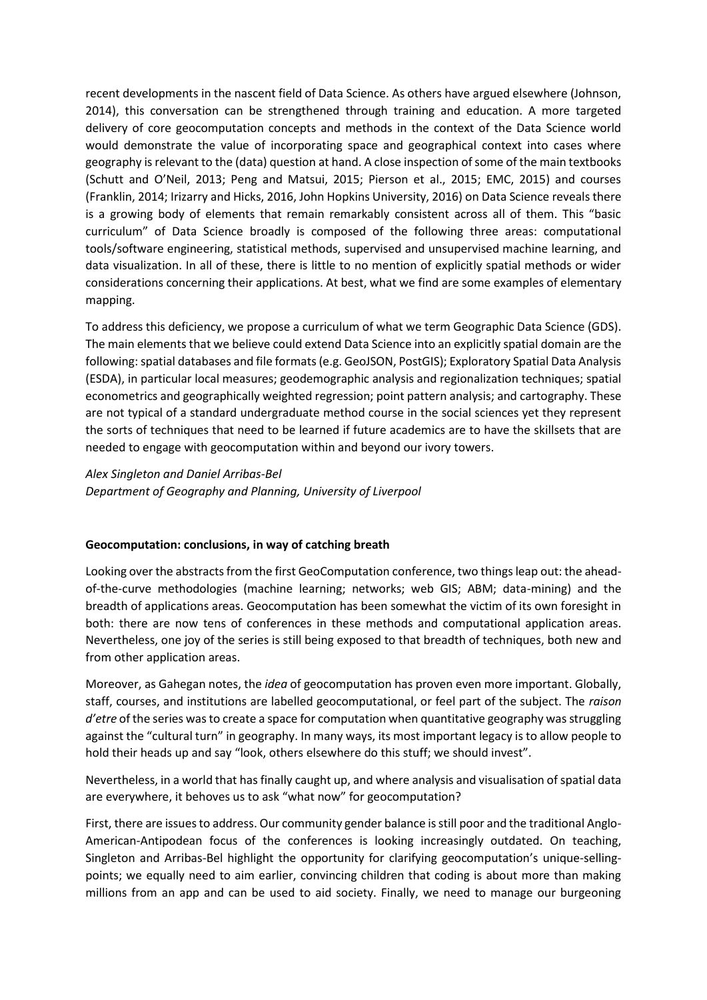recent developments in the nascent field of Data Science. As others have argued elsewhere (Johnson, 2014), this conversation can be strengthened through training and education. A more targeted delivery of core geocomputation concepts and methods in the context of the Data Science world would demonstrate the value of incorporating space and geographical context into cases where geography is relevant to the (data) question at hand. A close inspection of some of the main textbooks (Schutt and O'Neil, 2013; Peng and Matsui, 2015; Pierson et al., 2015; EMC, 2015) and courses (Franklin, 2014; Irizarry and Hicks, 2016, John Hopkins University, 2016) on Data Science reveals there is a growing body of elements that remain remarkably consistent across all of them. This "basic curriculum" of Data Science broadly is composed of the following three areas: computational tools/software engineering, statistical methods, supervised and unsupervised machine learning, and data visualization. In all of these, there is little to no mention of explicitly spatial methods or wider considerations concerning their applications. At best, what we find are some examples of elementary mapping.

To address this deficiency, we propose a curriculum of what we term Geographic Data Science (GDS). The main elements that we believe could extend Data Science into an explicitly spatial domain are the following: spatial databases and file formats (e.g. GeoJSON, PostGIS); Exploratory Spatial Data Analysis (ESDA), in particular local measures; geodemographic analysis and regionalization techniques; spatial econometrics and geographically weighted regression; point pattern analysis; and cartography. These are not typical of a standard undergraduate method course in the social sciences yet they represent the sorts of techniques that need to be learned if future academics are to have the skillsets that are needed to engage with geocomputation within and beyond our ivory towers.

*Alex Singleton and Daniel Arribas-Bel Department of Geography and Planning, University of Liverpool*

### **Geocomputation: conclusions, in way of catching breath**

Looking over the abstracts from the first GeoComputation conference, two things leap out: the aheadof-the-curve methodologies (machine learning; networks; web GIS; ABM; data-mining) and the breadth of applications areas. Geocomputation has been somewhat the victim of its own foresight in both: there are now tens of conferences in these methods and computational application areas. Nevertheless, one joy of the series is still being exposed to that breadth of techniques, both new and from other application areas.

Moreover, as Gahegan notes, the *idea* of geocomputation has proven even more important. Globally, staff, courses, and institutions are labelled geocomputational, or feel part of the subject. The *raison d'etre* of the series was to create a space for computation when quantitative geography was struggling against the "cultural turn" in geography. In many ways, its most important legacy is to allow people to hold their heads up and say "look, others elsewhere do this stuff; we should invest".

Nevertheless, in a world that has finally caught up, and where analysis and visualisation of spatial data are everywhere, it behoves us to ask "what now" for geocomputation?

First, there are issues to address. Our community gender balance is still poor and the traditional Anglo-American-Antipodean focus of the conferences is looking increasingly outdated. On teaching, Singleton and Arribas-Bel highlight the opportunity for clarifying geocomputation's unique-sellingpoints; we equally need to aim earlier, convincing children that coding is about more than making millions from an app and can be used to aid society. Finally, we need to manage our burgeoning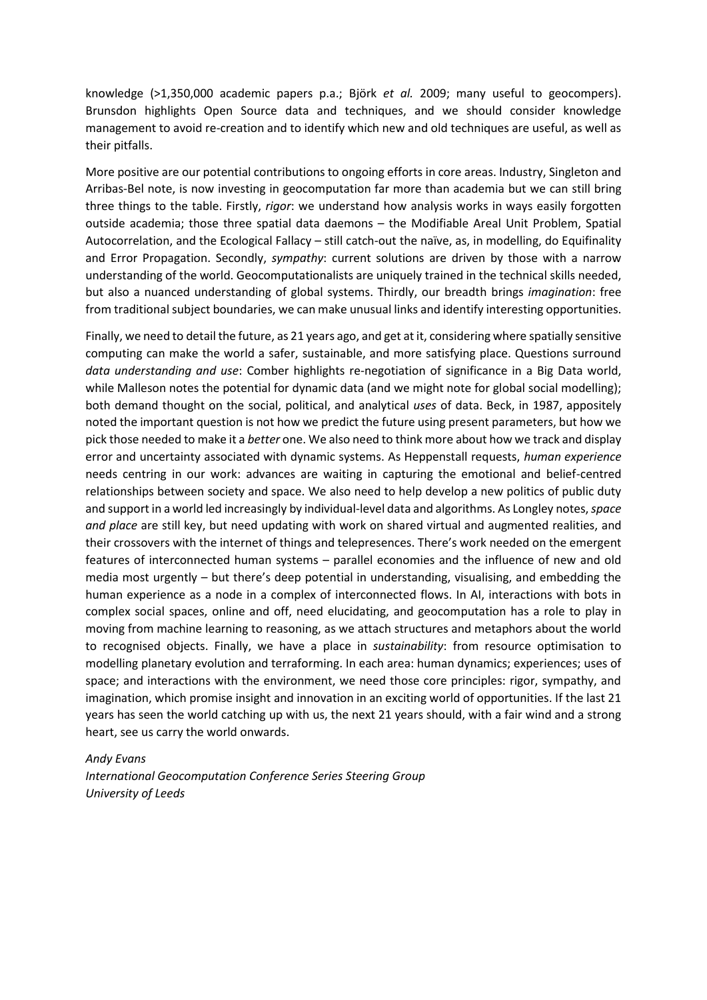knowledge (>1,350,000 academic papers p.a.; Björk *et al.* 2009; many useful to geocompers). Brunsdon highlights Open Source data and techniques, and we should consider knowledge management to avoid re-creation and to identify which new and old techniques are useful, as well as their pitfalls.

More positive are our potential contributions to ongoing efforts in core areas. Industry, Singleton and Arribas-Bel note, is now investing in geocomputation far more than academia but we can still bring three things to the table. Firstly, *rigor*: we understand how analysis works in ways easily forgotten outside academia; those three spatial data daemons – the Modifiable Areal Unit Problem, Spatial Autocorrelation, and the Ecological Fallacy – still catch-out the naïve, as, in modelling, do Equifinality and Error Propagation. Secondly, *sympathy*: current solutions are driven by those with a narrow understanding of the world. Geocomputationalists are uniquely trained in the technical skills needed, but also a nuanced understanding of global systems. Thirdly, our breadth brings *imagination*: free from traditional subject boundaries, we can make unusual links and identify interesting opportunities.

Finally, we need to detail the future, as 21 years ago, and get at it, considering where spatially sensitive computing can make the world a safer, sustainable, and more satisfying place. Questions surround *data understanding and use*: Comber highlights re-negotiation of significance in a Big Data world, while Malleson notes the potential for dynamic data (and we might note for global social modelling); both demand thought on the social, political, and analytical *uses* of data. Beck, in 1987, appositely noted the important question is not how we predict the future using present parameters, but how we pick those needed to make it a *better* one. We also need to think more about how we track and display error and uncertainty associated with dynamic systems. As Heppenstall requests, *human experience* needs centring in our work: advances are waiting in capturing the emotional and belief-centred relationships between society and space. We also need to help develop a new politics of public duty and support in a world led increasingly by individual-level data and algorithms. As Longley notes, *space and place* are still key, but need updating with work on shared virtual and augmented realities, and their crossovers with the internet of things and telepresences. There's work needed on the emergent features of interconnected human systems – parallel economies and the influence of new and old media most urgently – but there's deep potential in understanding, visualising, and embedding the human experience as a node in a complex of interconnected flows. In AI, interactions with bots in complex social spaces, online and off, need elucidating, and geocomputation has a role to play in moving from machine learning to reasoning, as we attach structures and metaphors about the world to recognised objects. Finally, we have a place in *sustainability*: from resource optimisation to modelling planetary evolution and terraforming. In each area: human dynamics; experiences; uses of space; and interactions with the environment, we need those core principles: rigor, sympathy, and imagination, which promise insight and innovation in an exciting world of opportunities. If the last 21 years has seen the world catching up with us, the next 21 years should, with a fair wind and a strong heart, see us carry the world onwards.

#### *Andy Evans*

*International Geocomputation Conference Series Steering Group University of Leeds*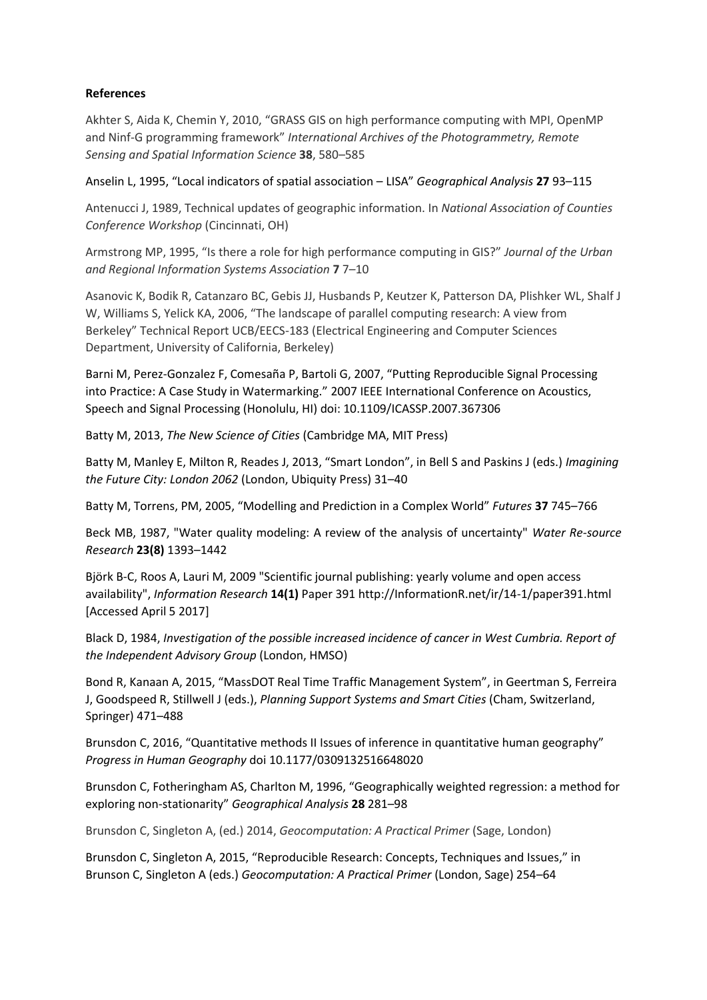## **References**

Akhter S, Aida K, Chemin Y, 2010, "GRASS GIS on high performance computing with MPI, OpenMP and Ninf-G programming framework" *International Archives of the Photogrammetry, Remote Sensing and Spatial Information Science* **38**, 580–585

Anselin L, 1995, "Local indicators of spatial association – LISA" *Geographical Analysis* **27** 93–115

Antenucci J, 1989, Technical updates of geographic information. In *National Association of Counties Conference Workshop* (Cincinnati, OH)

Armstrong MP, 1995, "Is there a role for high performance computing in GIS?" *Journal of the Urban and Regional Information Systems Association* **7** 7–10

Asanovic K, Bodik R, Catanzaro BC, Gebis JJ, Husbands P, Keutzer K, Patterson DA, Plishker WL, Shalf J W, Williams S, Yelick KA, 2006, "The landscape of parallel computing research: A view from Berkeley" Technical Report UCB/EECS-183 (Electrical Engineering and Computer Sciences Department, University of California, Berkeley)

Barni M, Perez-Gonzalez F, Comesaña P, Bartoli G, 2007, "Putting Reproducible Signal Processing into Practice: A Case Study in Watermarking." 2007 IEEE International Conference on Acoustics, Speech and Signal Processing (Honolulu, HI) doi: 10.1109/ICASSP.2007.367306

Batty M, 2013, *The New Science of Cities* (Cambridge MA, MIT Press)

Batty M, Manley E, Milton R, Reades J, 2013, "Smart London", in Bell S and Paskins J (eds.) *Imagining the Future City: London 2062* (London, Ubiquity Press) 31–40

Batty M, Torrens, PM, 2005, "Modelling and Prediction in a Complex World" *Futures* **37** 745–766

Beck MB, 1987, "Water quality modeling: A review of the analysis of uncertainty" *Water Re-source Research* **23(8)** 1393–1442

Björk B-C, Roos A, Lauri M, 2009 "Scientific journal publishing: yearly volume and open access availability", *Information Research* **14(1)** Paper 391 http://InformationR.net/ir/14-1/paper391.html [Accessed April 5 2017]

Black D, 1984, *Investigation of the possible increased incidence of cancer in West Cumbria. Report of the Independent Advisory Group* (London, HMSO)

Bond R, Kanaan A, 2015, "MassDOT Real Time Traffic Management System", in Geertman S, Ferreira J, Goodspeed R, Stillwell J (eds.), *Planning Support Systems and Smart Cities* (Cham, Switzerland, Springer) 471–488

Brunsdon C, 2016, "Quantitative methods II Issues of inference in quantitative human geography" *Progress in Human Geography* doi 10.1177/0309132516648020

Brunsdon C, Fotheringham AS, Charlton M, 1996, "Geographically weighted regression: a method for exploring non-stationarity" *Geographical Analysis* **28** 281–98

Brunsdon C, Singleton A, (ed.) 2014, *Geocomputation: A Practical Primer* (Sage, London)

Brunsdon C, Singleton A, 2015, "Reproducible Research: Concepts, Techniques and Issues," in Brunson C, Singleton A (eds.) *Geocomputation: A Practical Primer* (London, Sage) 254–64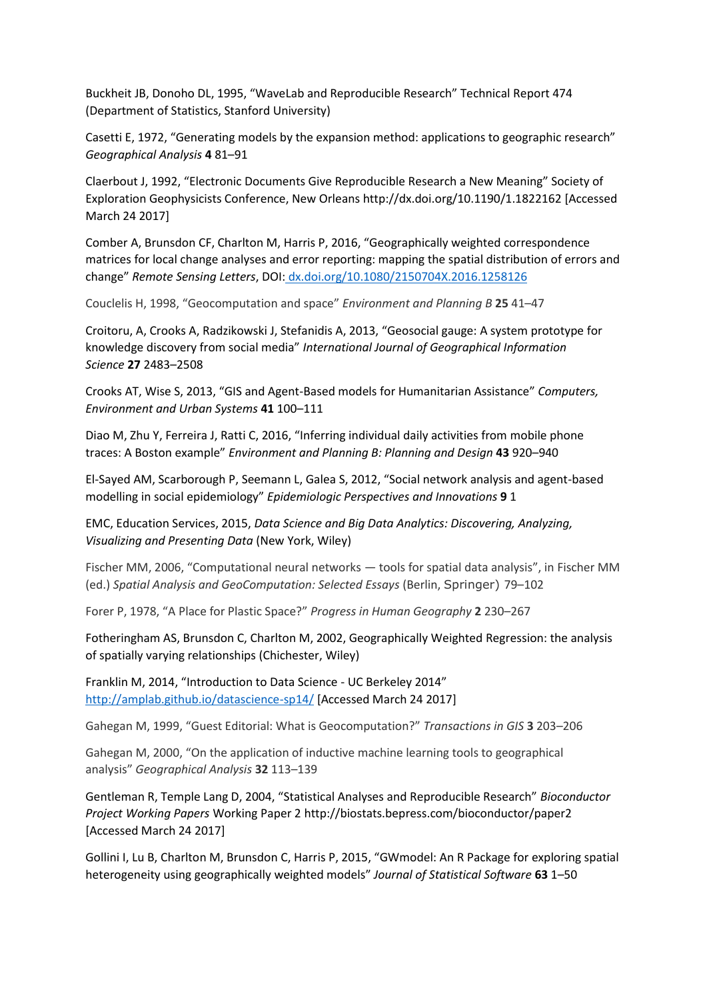Buckheit JB, Donoho DL, 1995, "WaveLab and Reproducible Research" Technical Report 474 (Department of Statistics, Stanford University)

Casetti E, 1972, "Generating models by the expansion method: applications to geographic research" *Geographical Analysis* **4** 81–91

Claerbout J, 1992, "Electronic Documents Give Reproducible Research a New Meaning" Society of Exploration Geophysicists Conference, New Orleans http://dx.doi.org/10.1190/1.1822162 [Accessed March 24 2017]

Comber A, Brunsdon CF, Charlton M, Harris P, 2016, "Geographically weighted correspondence matrices for local change analyses and error reporting: mapping the spatial distribution of errors and change" *Remote Sensing Letters*, DOI: [dx.doi.org/10.1080/2150704X.2016.1258126](http://dx.doi.org/10.1080/2150704X.2016.1258126)

Couclelis H, 1998, "Geocomputation and space" *Environment and Planning B* **25** 41–47

Croitoru, A, Crooks A, Radzikowski J, Stefanidis A, 2013, "Geosocial gauge: A system prototype for knowledge discovery from social media" *International Journal of Geographical Information Science* **27** 2483–2508

Crooks AT, Wise S, 2013, "GIS and Agent-Based models for Humanitarian Assistance" *Computers, Environment and Urban Systems* **41** 100–111

Diao M, Zhu Y, Ferreira J, Ratti C, 2016, "Inferring individual daily activities from mobile phone traces: A Boston example" *Environment and Planning B: Planning and Design* **43** 920–940

El-Sayed AM, Scarborough P, Seemann L, Galea S, 2012, "Social network analysis and agent-based modelling in social epidemiology" *Epidemiologic Perspectives and Innovations* **9** 1

EMC, Education Services, 2015, *Data Science and Big Data Analytics: Discovering, Analyzing, Visualizing and Presenting Data* (New York, Wiley)

Fischer MM, 2006, "Computational neural networks — tools for spatial data analysis", in Fischer MM (ed.) *Spatial Analysis and GeoComputation: Selected Essays* (Berlin, Springer) 79–102

Forer P, 1978, "A Place for Plastic Space?" *Progress in Human Geography* **2** 230–267

Fotheringham AS, Brunsdon C, Charlton M, 2002, Geographically Weighted Regression: the analysis of spatially varying relationships (Chichester, Wiley)

Franklin M, 2014, "Introduction to Data Science - UC Berkeley 2014" <http://amplab.github.io/datascience-sp14/> [Accessed March 24 2017]

Gahegan M, 1999, "Guest Editorial: What is Geocomputation?" *Transactions in GIS* **3** 203–206

Gahegan M, 2000, "On the application of inductive machine learning tools to geographical analysis" *Geographical Analysis* **32** 113–139

Gentleman R, Temple Lang D, 2004, "Statistical Analyses and Reproducible Research" *Bioconductor Project Working Papers* Working Paper 2 http://biostats.bepress.com/bioconductor/paper2 [Accessed March 24 2017]

Gollini I, Lu B, Charlton M, Brunsdon C, Harris P, 2015, "GWmodel: An R Package for exploring spatial heterogeneity using geographically weighted models" *Journal of Statistical Software* **63** 1–50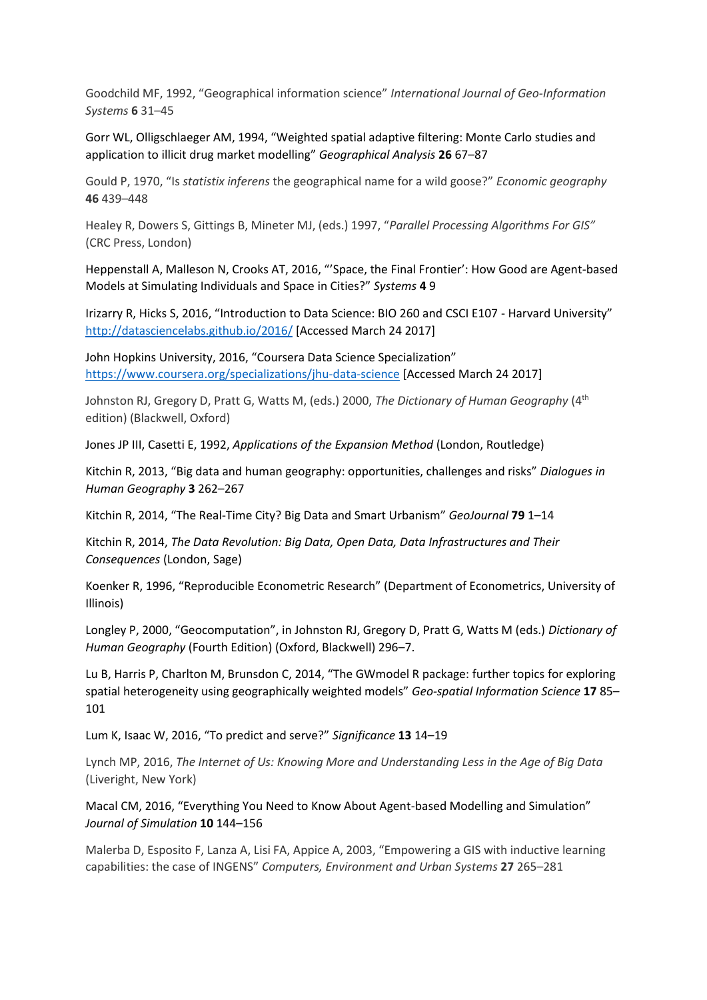Goodchild MF, 1992, "Geographical information science" *International Journal of Geo-Information Systems* **6** 31–45

Gorr WL, Olligschlaeger AM, 1994, "Weighted spatial adaptive filtering: Monte Carlo studies and application to illicit drug market modelling" *Geographical Analysis* **26** 67–87

Gould P, 1970, "Is *statistix inferens* the geographical name for a wild goose?" *Economic geography* **46** 439–448

Healey R, Dowers S, Gittings B, Mineter MJ, (eds.) 1997, "*Parallel Processing Algorithms For GIS"* (CRC Press, London)

Heppenstall A, Malleson N, Crooks AT, 2016, "'Space, the Final Frontier': How Good are Agent-based Models at Simulating Individuals and Space in Cities?" *Systems* **4** 9

Irizarry R, Hicks S, 2016, "Introduction to Data Science: BIO 260 and CSCI E107 - Harvard University" <http://datasciencelabs.github.io/2016/> [Accessed March 24 2017]

John Hopkins University, 2016, "Coursera Data Science Specialization" <https://www.coursera.org/specializations/jhu-data-science> [Accessed March 24 2017]

Johnston RJ, Gregory D, Pratt G, Watts M, (eds.) 2000, *The Dictionary of Human Geography* (4th edition) (Blackwell, Oxford)

Jones JP III, Casetti E, 1992, *Applications of the Expansion Method* (London, Routledge)

Kitchin R, 2013, "Big data and human geography: opportunities, challenges and risks" *Dialogues in Human Geography* **3** 262–267

Kitchin R, 2014, "The Real-Time City? Big Data and Smart Urbanism" *GeoJournal* **79** 1–14

Kitchin R, 2014, *The Data Revolution: Big Data, Open Data, Data Infrastructures and Their Consequences* (London, Sage)

Koenker R, 1996, "Reproducible Econometric Research" (Department of Econometrics, University of Illinois)

Longley P, 2000, "Geocomputation", in Johnston RJ, Gregory D, Pratt G, Watts M (eds.) *Dictionary of Human Geography* (Fourth Edition) (Oxford, Blackwell) 296–7.

Lu B, Harris P, Charlton M, Brunsdon C, 2014, "The GWmodel R package: further topics for exploring spatial heterogeneity using geographically weighted models" *Geo-spatial Information Science* **17** 85– 101

Lum K, Isaac W, 2016, "To predict and serve?" *Significance* **13** 14–19

Lynch MP, 2016, *The Internet of Us: Knowing More and Understanding Less in the Age of Big Data* (Liveright, New York)

Macal CM, 2016, "Everything You Need to Know About Agent-based Modelling and Simulation" *Journal of Simulation* **10** 144–156

Malerba D, Esposito F, Lanza A, Lisi FA, Appice A, 2003, "Empowering a GIS with inductive learning capabilities: the case of INGENS" *Computers, Environment and Urban Systems* **27** 265–281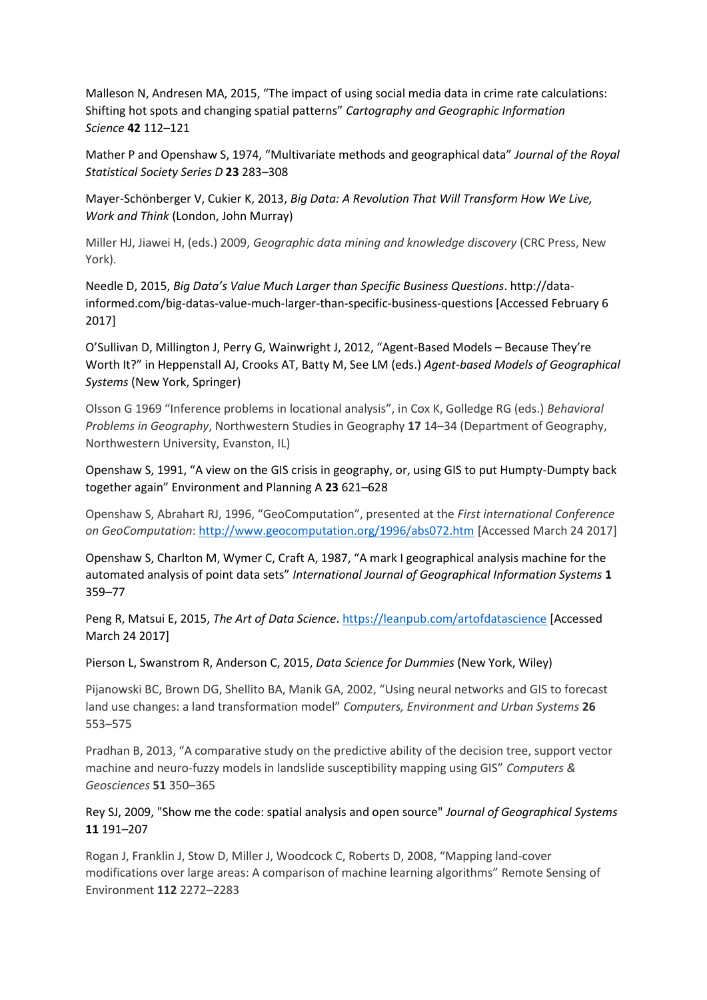Malleson N, Andresen MA, 2015, "The impact of using social media data in crime rate calculations: Shifting hot spots and changing spatial patterns" *Cartography and Geographic Information Science* **42** 112–121

Mather P and Openshaw S, 1974, "Multivariate methods and geographical data" *Journal of the Royal Statistical Society Series D* **23** 283–308

Mayer-Schönberger V, Cukier K, 2013, *Big Data: A Revolution That Will Transform How We Live, Work and Think* (London, John Murray)

Miller HJ, Jiawei H, (eds.) 2009, *Geographic data mining and knowledge discovery* (CRC Press, New York).

Needle D, 2015, *Big Data's Value Much Larger than Specific Business Questions*. http://datainformed.com/big-datas-value-much-larger-than-specific-business-questions [Accessed February 6 2017]

O'Sullivan D, Millington J, Perry G, Wainwright J, 2012, "Agent-Based Models – Because They're Worth It?" in Heppenstall AJ, Crooks AT, Batty M, See LM (eds.) *Agent-based Models of Geographical Systems* (New York, Springer)

Olsson G 1969 "Inference problems in locational analysis", in Cox K, Golledge RG (eds.) *Behavioral Problems in Geography*, Northwestern Studies in Geography **17** 14–34 (Department of Geography, Northwestern University, Evanston, IL)

Openshaw S, 1991, "A view on the GIS crisis in geography, or, using GIS to put Humpty-Dumpty back together again" Environment and Planning A **23** 621–628

Openshaw S, Abrahart RJ, 1996, "GeoComputation", presented at the *First international Conference on GeoComputation*:<http://www.geocomputation.org/1996/abs072.htm> [Accessed March 24 2017]

Openshaw S, Charlton M, Wymer C, Craft A, 1987, "A mark I geographical analysis machine for the automated analysis of point data sets" *International Journal of Geographical Information Systems* **1** 359–77

Peng R, Matsui E, 2015, *The Art of Data Science*[. https://leanpub.com/artofdatascience](https://leanpub.com/artofdatascience) [Accessed March 24 2017]

Pierson L, Swanstrom R, Anderson C, 2015, *Data Science for Dummies* (New York, Wiley)

Pijanowski BC, Brown DG, Shellito BA, Manik GA, 2002, "Using neural networks and GIS to forecast land use changes: a land transformation model" *Computers, Environment and Urban Systems* **26** 553–575

Pradhan B, 2013, "A comparative study on the predictive ability of the decision tree, support vector machine and neuro-fuzzy models in landslide susceptibility mapping using GIS" *Computers & Geosciences* **51** 350–365

Rey SJ, 2009, "Show me the code: spatial analysis and open source" *Journal of Geographical Systems* **11** 191–207

Rogan J, Franklin J, Stow D, Miller J, Woodcock C, Roberts D, 2008, "Mapping land-cover modifications over large areas: A comparison of machine learning algorithms" Remote Sensing of Environment **112** 2272–2283